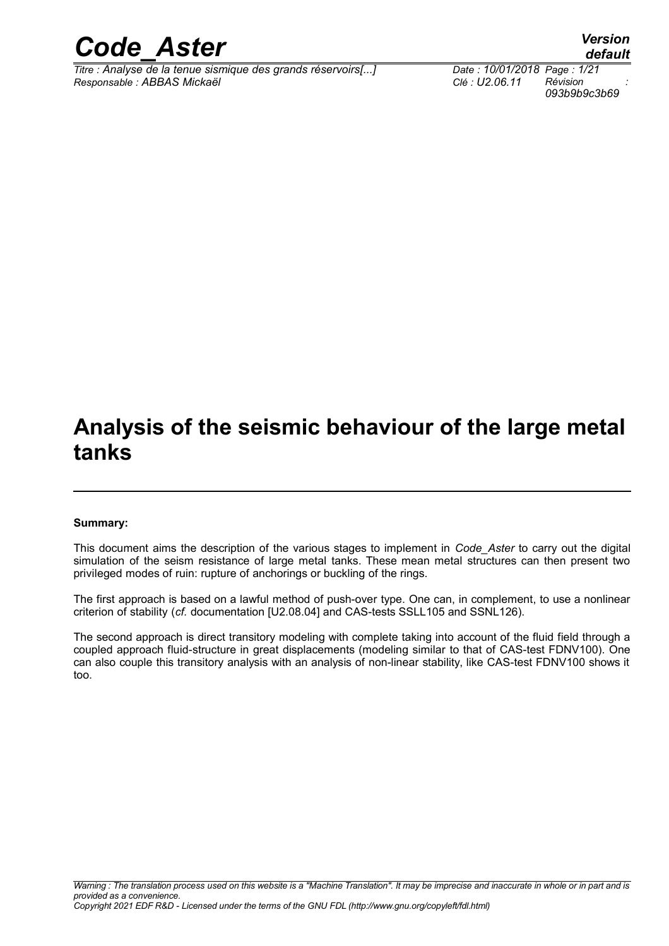

*Titre : Analyse de la tenue sismique des grands réservoirs[...] Date : 10/01/2018 Page : 1/21 Responsable : ABBAS Mickaël Clé : U2.06.11 Révision :*

*093b9b9c3b69*

## **Analysis of the seismic behaviour of the large metal tanks**

#### **Summary:**

This document aims the description of the various stages to implement in *Code\_Aster* to carry out the digital simulation of the seism resistance of large metal tanks. These mean metal structures can then present two privileged modes of ruin: rupture of anchorings or buckling of the rings.

The first approach is based on a lawful method of push-over type. One can, in complement, to use a nonlinear criterion of stability (*cf.* documentation [U2.08.04] and CAS-tests SSLL105 and SSNL126).

The second approach is direct transitory modeling with complete taking into account of the fluid field through a coupled approach fluid-structure in great displacements (modeling similar to that of CAS-test FDNV100). One can also couple this transitory analysis with an analysis of non-linear stability, like CAS-test FDNV100 shows it too.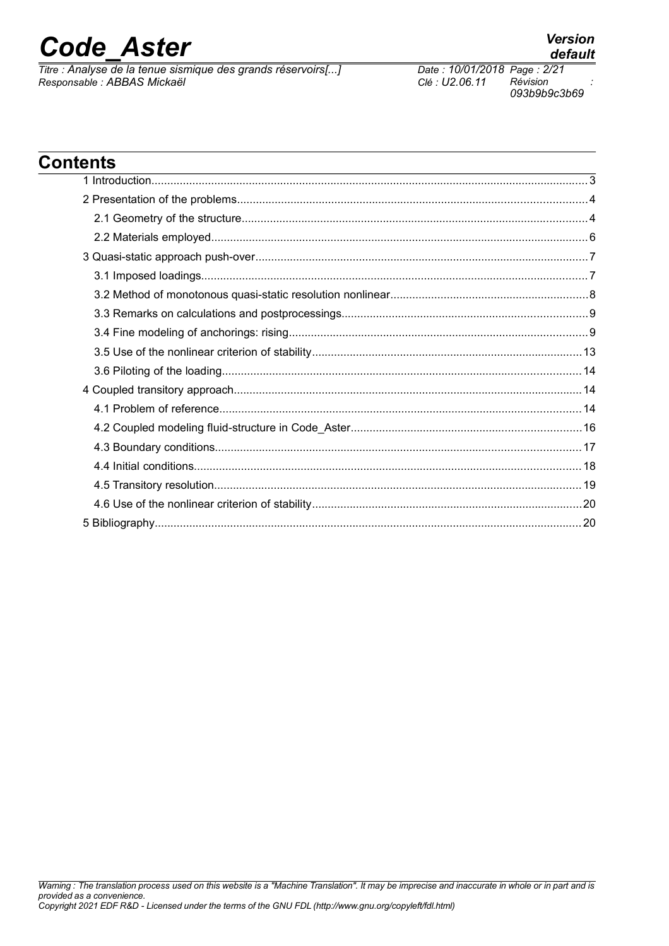*Titre : Analyse de la tenue sismique des grands réservoirs[...] Date : 10/01/2018 Page : 2/21 Responsable : ABBAS Mickaël Clé : U2.06.11 Révision :*

*default*

## **Contents**

| ,我们也不会有什么。""我们的人,我们也不会有什么?""我们的人,我们也不会有什么?""我们的人,我们也不会有什么?""我们的人,我们也不会有什么?""我们的人 |  |
|----------------------------------------------------------------------------------|--|
|                                                                                  |  |
|                                                                                  |  |
|                                                                                  |  |
|                                                                                  |  |
|                                                                                  |  |
|                                                                                  |  |
|                                                                                  |  |
|                                                                                  |  |
|                                                                                  |  |
|                                                                                  |  |
|                                                                                  |  |
|                                                                                  |  |
|                                                                                  |  |
|                                                                                  |  |
|                                                                                  |  |
|                                                                                  |  |
|                                                                                  |  |
|                                                                                  |  |
|                                                                                  |  |
|                                                                                  |  |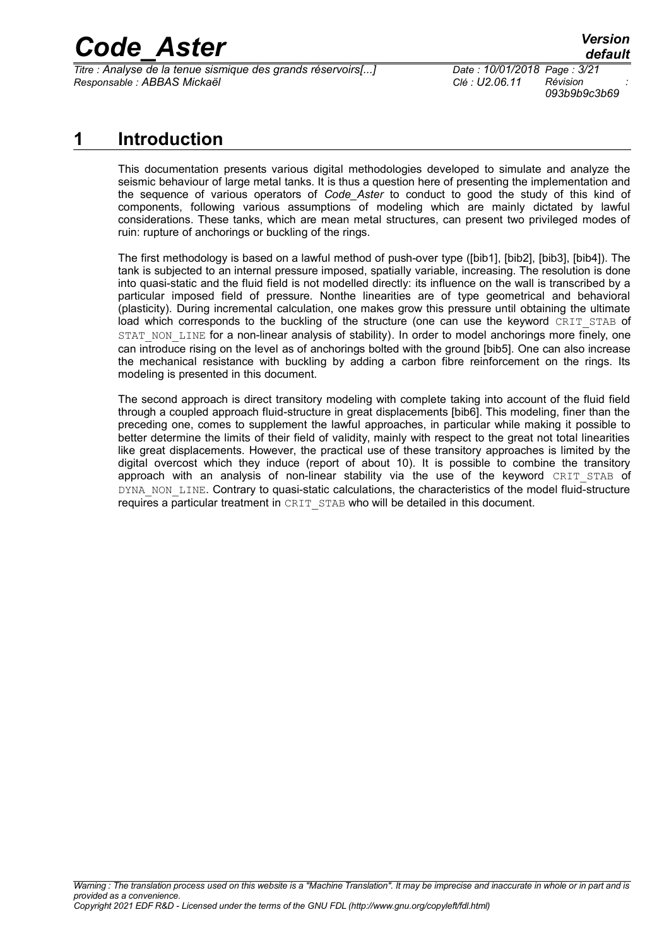*Titre : Analyse de la tenue sismique des grands réservoirs[...] Date : 10/01/2018 Page : 3/21 Responsable : ABBAS Mickaël Clé : U2.06.11 Révision :*

*093b9b9c3b69*

## **1 Introduction**

This documentation presents various digital methodologies developed to simulate and analyze the seismic behaviour of large metal tanks. It is thus a question here of presenting the implementation and the sequence of various operators of *Code\_Aster* to conduct to good the study of this kind of components, following various assumptions of modeling which are mainly dictated by lawful considerations. These tanks, which are mean metal structures, can present two privileged modes of ruin: rupture of anchorings or buckling of the rings.

The first methodology is based on a lawful method of push-over type ([bib1], [bib2], [bib3], [bib4]). The tank is subjected to an internal pressure imposed, spatially variable, increasing. The resolution is done into quasi-static and the fluid field is not modelled directly: its influence on the wall is transcribed by a particular imposed field of pressure. Nonthe linearities are of type geometrical and behavioral (plasticity). During incremental calculation, one makes grow this pressure until obtaining the ultimate load which corresponds to the buckling of the structure (one can use the keyword CRIT STAB of STAT\_NON\_LINE for a non-linear analysis of stability). In order to model anchorings more finely, one can introduce rising on the level as of anchorings bolted with the ground [bib5]. One can also increase the mechanical resistance with buckling by adding a carbon fibre reinforcement on the rings. Its modeling is presented in this document.

The second approach is direct transitory modeling with complete taking into account of the fluid field through a coupled approach fluid-structure in great displacements [bib6]. This modeling, finer than the preceding one, comes to supplement the lawful approaches, in particular while making it possible to better determine the limits of their field of validity, mainly with respect to the great not total linearities like great displacements. However, the practical use of these transitory approaches is limited by the digital overcost which they induce (report of about 10). It is possible to combine the transitory approach with an analysis of non-linear stability via the use of the keyword CRIT STAB of DYNA\_NON\_LINE. Contrary to quasi-static calculations, the characteristics of the model fluid-structure requires a particular treatment in CRIT\_STAB who will be detailed in this document.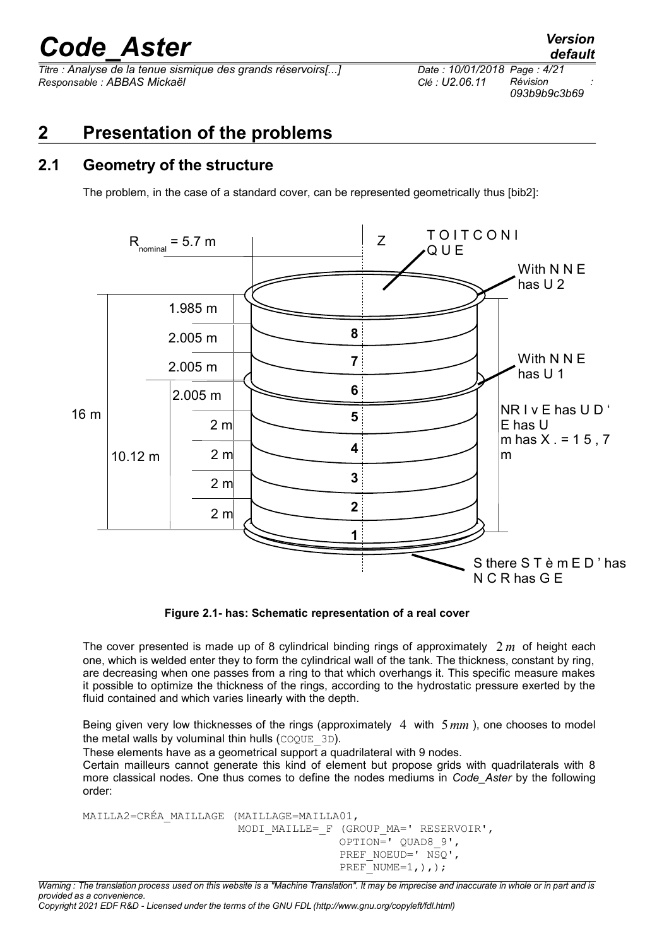*Titre : Analyse de la tenue sismique des grands réservoirs[...] Date : 10/01/2018 Page : 4/21 Responsable : ABBAS Mickaël Clé : U2.06.11 Révision :*

*093b9b9c3b69*

## **2 Presentation of the problems**

#### **2.1 Geometry of the structure**

<span id="page-3-0"></span>The problem, in the case of a standard cover, can be represented geometrically thus [bib2]:



**Figure [2.1-](#page-3-0) has: Schematic representation of a real cover**

The cover presented is made up of 8 cylindrical binding rings of approximately 2 *m* of height each one, which is welded enter they to form the cylindrical wall of the tank. The thickness, constant by ring, are decreasing when one passes from a ring to that which overhangs it. This specific measure makes it possible to optimize the thickness of the rings, according to the hydrostatic pressure exerted by the fluid contained and which varies linearly with the depth.

Being given very low thicknesses of the rings (approximately 4 with 5*mm* ), one chooses to model the metal walls by voluminal thin hulls  $(COQUE-3D)$ .

These elements have as a geometrical support a quadrilateral with 9 nodes.

Certain mailleurs cannot generate this kind of element but propose grids with quadrilaterals with 8 more classical nodes. One thus comes to define the nodes mediums in *Code\_Aster* by the following order:

```
MAILLA2=CRÉA_MAILLAGE (MAILLAGE=MAILLA01,
                       MODI MAILLE= F (GROUP MA=' RESERVOIR',
                                        OPTION=' QUAD8_9',
                                       PREF_NOEUD=' NSQ',
                                       PREF NUME=1, ),;
```
*Warning : The translation process used on this website is a "Machine Translation". It may be imprecise and inaccurate in whole or in part and is provided as a convenience.*

*Copyright 2021 EDF R&D - Licensed under the terms of the GNU FDL (http://www.gnu.org/copyleft/fdl.html)*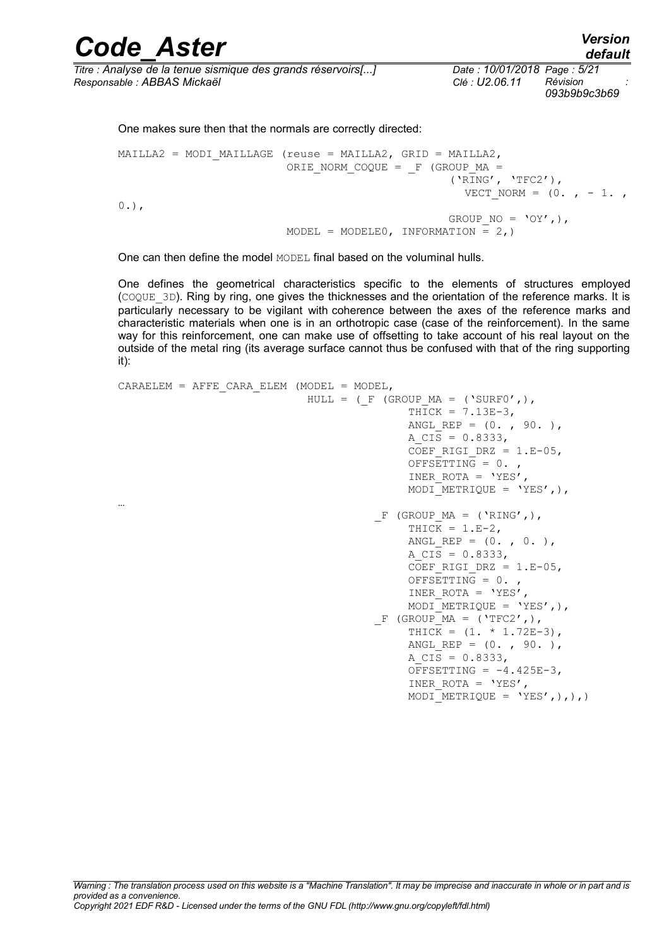| <b>Code Aster</b>                                            | <b>Version</b><br>default                    |
|--------------------------------------------------------------|----------------------------------------------|
| Titre : Analyse de la tenue sismique des grands réservoirs[] | Date: 10/01/2018 Page: 5/21                  |
| Responsable : ABBAS Mickaël                                  | Révision<br>$Cl6$ : U2.06.11<br>093b9b9c3b69 |

One makes sure then that the normals are correctly directed:

```
MAILLA2 = MODI MAILLAGE (reuse = MAILLA2, GRID = MAILLA2,
                             ORIE NORM COQUE = F (GROUP MA =
                                                          (\overline{Y}R\overline{I}NG', \overline{Y}TFC2'),
                                                             VECT NORM = (0, , -1, ,0.),
                                                          GROUP NO = 'OY',),
                             MODEL = MODELEO, INFORMATION = 2,)
```
One can then define the model MODEL final based on the voluminal hulls.

One defines the geometrical characteristics specific to the elements of structures employed (COQUE\_3D). Ring by ring, one gives the thicknesses and the orientation of the reference marks. It is particularly necessary to be vigilant with coherence between the axes of the reference marks and characteristic materials when one is in an orthotropic case (case of the reinforcement). In the same way for this reinforcement, one can make use of offsetting to take account of his real layout on the outside of the metal ring (its average surface cannot thus be confused with that of the ring supporting it):

```
CARAELEM = AFFE CARA ELEM (MODEL = MODEL,
                             HULL = (F (GROUP MA = ('SURF0',),
                                            THICK = 7.13E-3,
                                            ANGL REP = (0. , 90. ),
                                            A CIS = 0.8333,
                                            COEF RIGI DRZ = 1.E-05,
                                            OFFSETTIME = 0.INER ROTA = 'YES',
                                            MODI METRIQUE = 'YES',),
…
                                       F (GROUP MA = ('RING',),
                                            THICK = 1.E-2,
                                            ANGL REP = (0, , 0, ),
                                            A CIS = 0.8333,
                                            COEF RIGI DRZ = 1.E-05,
                                            OFFSETTING = 0.INER ROTA = 'YES',
                                            MODI METRIQUE = 'YES',),
                                       F (GROUP MA = ('TFC2',),
                                            THICK = (1. * 1.72E-3),
                                            ANGL REP = (0. , 90. ),
                                            A \overline{CIS} = 0.8333,
                                            OFFSETTING = -4.425E-3,
                                            INER ROTA = 'YES',
                                            MODI METRIQUE = 'YES',),),
```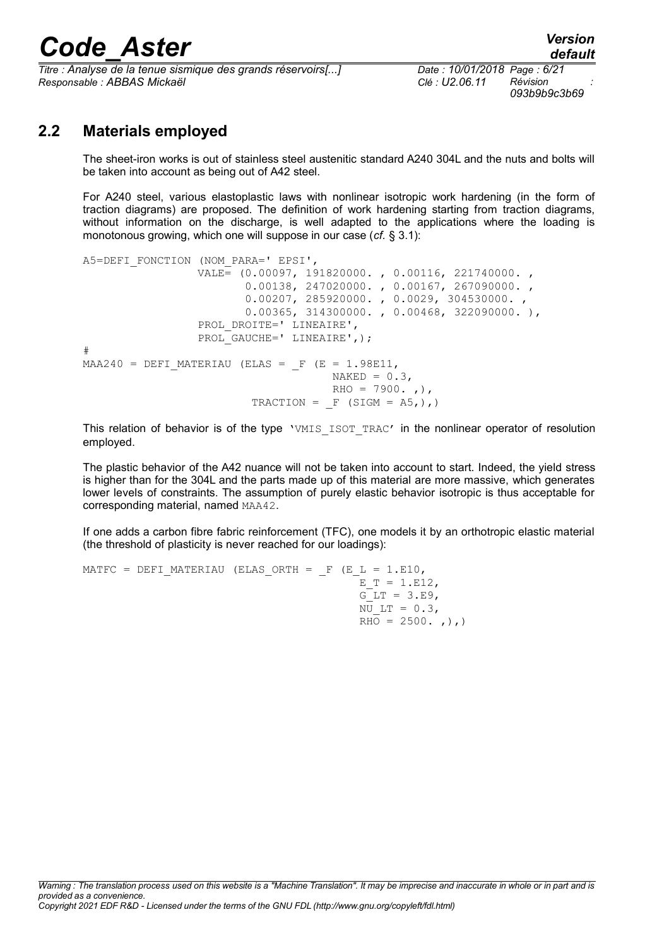*Titre : Analyse de la tenue sismique des grands réservoirs[...] Date : 10/01/2018 Page : 6/21 Responsable : ABBAS Mickaël Clé : U2.06.11 Révision :*

*093b9b9c3b69*

### **2.2 Materials employed**

The sheet-iron works is out of stainless steel austenitic standard A240 304L and the nuts and bolts will be taken into account as being out of A42 steel.

For A240 steel, various elastoplastic laws with nonlinear isotropic work hardening (in the form of traction diagrams) are proposed. The definition of work hardening starting from traction diagrams, without information on the discharge, is well adapted to the applications where the loading is monotonous growing, which one will suppose in our case (*cf.* § [3.1\)](#page-6-0):

```
A5=DEFI_FONCTION (NOM_PARA=' EPSI',
                  VALE= (0.00097, 191820000. , 0.00116, 221740000. ,
                         0.00138, 247020000. , 0.00167, 267090000. ,
                         0.00207, 285920000. , 0.0029, 304530000. ,
                         0.00365, 314300000. , 0.00468, 322090000. ),
                 PROL DROITE=' LINEAIRE',
                 PROL GAUCHE=' LINEAIRE', );
# 
MA240 = DEFI MATERIAU (ELAS = F (E = 1.98E11,
                                     NAKED = 0.3RHO = 7900., ,),
                         TRACTION = F (SIGM = A5, ),
```
This relation of behavior is of the type 'VMIS ISOT TRAC' in the nonlinear operator of resolution employed.

The plastic behavior of the A42 nuance will not be taken into account to start. Indeed, the yield stress is higher than for the 304L and the parts made up of this material are more massive, which generates lower levels of constraints. The assumption of purely elastic behavior isotropic is thus acceptable for corresponding material, named MAA42.

If one adds a carbon fibre fabric reinforcement (TFC), one models it by an orthotropic elastic material (the threshold of plasticity is never reached for our loadings):

```
MATFC = DEFI_MATERIAU (ELAS_ORTH = F (E L = 1.E10,
                                              E_T = 1.E12,G LT = 3.E9,
                                              \overline{NU} LT = 0.3,
                                              RHO = 2500., , ),
```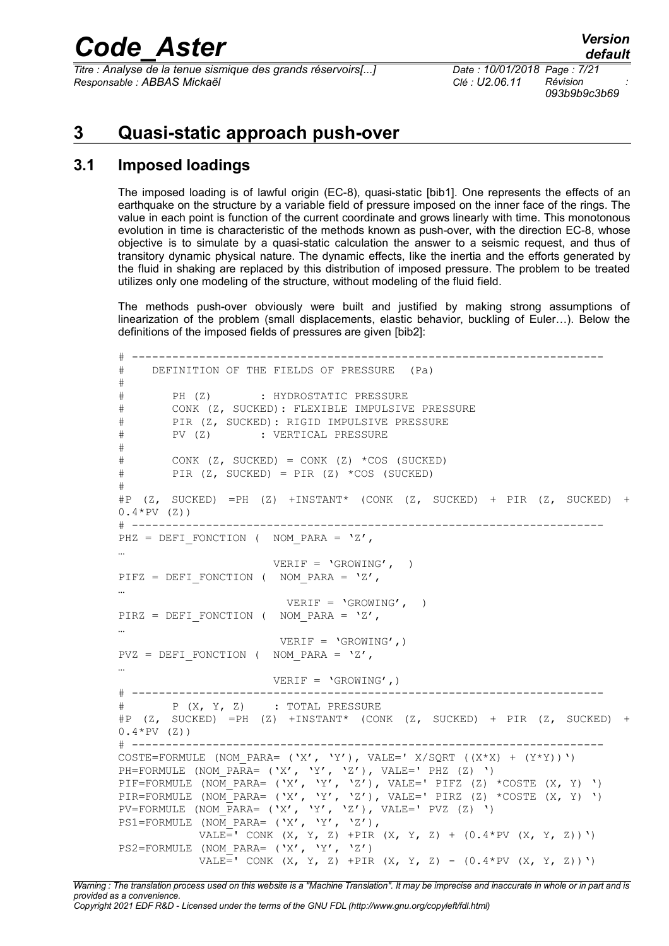*Titre : Analyse de la tenue sismique des grands réservoirs[...] Responsable : ABBAS Mickaël Clé : U2.06.11 Révision :*

## **3 Quasi-static approach push-over**

#### **3.1 Imposed loadings**

<span id="page-6-0"></span>The imposed loading is of lawful origin (EC-8), quasi-static [bib1]. One represents the effects of an earthquake on the structure by a variable field of pressure imposed on the inner face of the rings. The value in each point is function of the current coordinate and grows linearly with time. This monotonous evolution in time is characteristic of the methods known as push-over, with the direction EC-8, whose objective is to simulate by a quasi-static calculation the answer to a seismic request, and thus of transitory dynamic physical nature. The dynamic effects, like the inertia and the efforts generated by the fluid in shaking are replaced by this distribution of imposed pressure. The problem to be treated utilizes only one modeling of the structure, without modeling of the fluid field.

The methods push-over obviously were built and justified by making strong assumptions of linearization of the problem (small displacements, elastic behavior, buckling of Euler…). Below the definitions of the imposed fields of pressures are given [bib2]:

```
# ----------------------------------------------------------------------
# DEFINITION OF THE FIELDS OF PRESSURE (Pa)
#
# PH (Z) : HYDROSTATIC PRESSURE
# CONK (Z, SUCKED): FLEXIBLE IMPULSIVE PRESSURE
# PIR (Z, SUCKED): RIGID IMPULSIVE PRESSURE
# PV (Z) : VERTICAL PRESSURE
#
# CONK (Z, SUCKED) = CONK (Z) *COS (SUCKED)
# PIR (Z, SUCKED) = PIR (Z) *COS (SUCKED)
#
#P (Z, SUCKED) =PH (Z) +INSTANT* (CONK (Z, SUCKED) + PIR (Z, SUCKED) +
0.4*PV (Z)# ----------------------------------------------------------------------
PHZ = DEFI FONCTION ( NOM PARA = 'Z',
…
                      VERIF = 'GROWING', ) 
PIFZ = DEFI FONCTION ( NOM PARA = 'Z',
…
                        VERIF = 'GROWING', )
PIRZ = DEFI FONCTION ( NOM_PARA = 'Z',
…
                       VERIF = 'GROWING',) 
PVZ = DEFI FONCTION ( NOM PARA = 'Z',
…
                     VERIF = 'GROWING', )# ----------------------------------------------------------------------
# P (X, Y, Z) : TOTAL PRESSURE
\#P (Z, SUCKED) =PH (Z) +INSTANT* (CONK (Z, SUCKED) + PIR (Z, SUCKED)
0.4*PV (Z)# ----------------------------------------------------------------------
COSTE=FORMULE (NOM_PARA= (YX', YY'), VALE=' X/SQRT ((X*X) + (Y*Y))')
PH=FORMULE (NOM_PARA= (YX', YY', YZ'), VALE=' PHZ (Z))
PIF=FORMULE (NOM PARA= ('X', 'Y', 'Z'), VALE=' PIFZ (Z) *COSTE (X, Y) ')
PIR=FORMULE (NOM_PARA= ('X', 'Y', 'Z'), VALE=' PIRZ (Z) *COSTE (X, Y) ')
PV=FORMULE (NOM PARA= (YX', Y', Y', Y', Y'), VALE=' PVZ (Z) ')
PS1=FORMULE (NOM PARA= ('X', 'Y', 'Z'),
          VALE=' CONK (X, Y, Z) +PIR (X, Y, Z) + (0.4*PV (X, Y, Z))')PS2=FORMULE (NOM_PARA= ('X', 'Y', 'Z')
           VALE<sup>=</sup>' CONK (X, Y, Z) +PIR (X, Y, Z) - (0.4*PV (X, Y, Z))')
```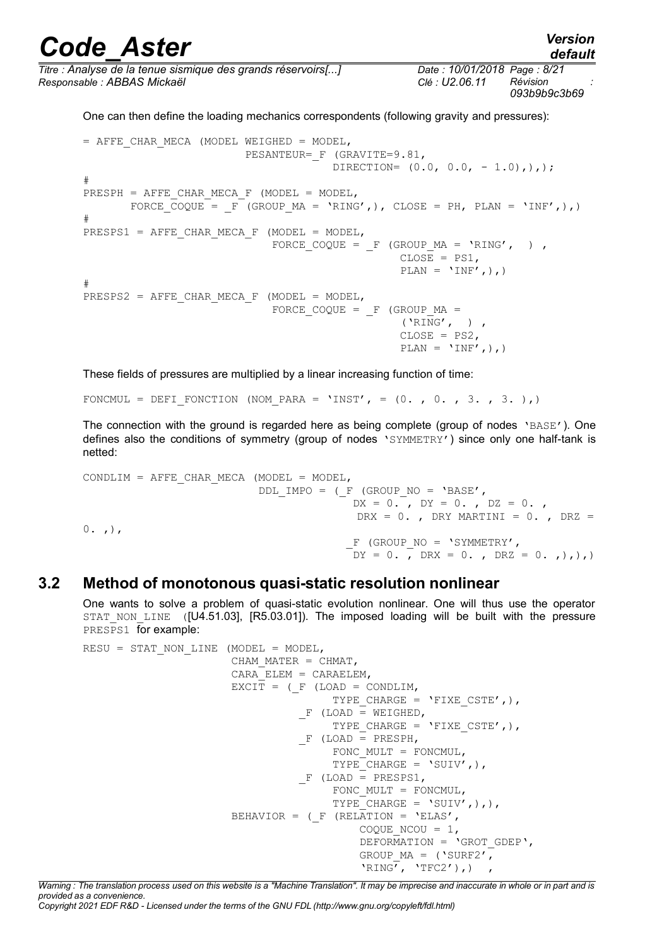*default*

*Titre : Analyse de la tenue sismique des grands réservoirs[...] Date : 10/01/2018 Page : 8/21 Responsable : ABBAS Mickaël Clé : U2.06.11 Révision :*

*093b9b9c3b69*

One can then define the loading mechanics correspondents (following gravity and pressures):

= AFFE\_CHAR\_MECA (MODEL WEIGHED = MODEL, PESANTEUR= F (GRAVITE=9.81, DIRECTION=  $(0.0, 0.0, -1.0)$ ,  $),$ # PRESPH = AFFE CHAR MECA F (MODEL = MODEL, FORCE  $\overline{COQUE}$  =  $F^{-}$  (GROUP MA = 'RING',), CLOSE = PH, PLAN = 'INF',),) # PRESPS1 = AFFE CHAR MECA F (MODEL = MODEL, FORCE COQUE =  $F$  (GROUP MA = 'RING', ) ,  $CLOSE = PS1,$  $PLAN = 'INF',$ ),) # PRESPS2 = AFFE CHAR MECA F (MODEL = MODEL, FORCE COQUE =  $F$  (GROUP MA = ('RING', ) , CLOSE = PS2,  $\text{PLAN} = 'INF',),$ 

These fields of pressures are multiplied by a linear increasing function of time:

FONCMUL = DEFI\_FONCTION (NOM\_PARA = 'INST', =  $(0. , 0. , 3. , 3. )$ )

The connection with the ground is regarded here as being complete (group of nodes  $\text{YBASE'}$ ). One defines also the conditions of symmetry (group of nodes 'SYMMETRY') since only one half-tank is netted:

CONDLIM = AFFE CHAR MECA (MODEL = MODEL, DDL IMPO = ( $F$  (GROUP NO = 'BASE',  $DX = 0.$ ,  $DY = 0.$ ,  $DZ = 0.$ , DRX =  $0.$ , DRY MARTINI =  $0.$ , DRZ =  $0.$ ,  $)$ ,  $F$  (GROUP NO = 'SYMMETRY',  $DY = 0.$ ,  $DRX = 0.$ ,  $DRZ = 0.$ ,  $)$ ,  $)$ ,

#### **3.2 Method of monotonous quasi-static resolution nonlinear**

One wants to solve a problem of quasi-static evolution nonlinear. One will thus use the operator STAT NON LINE ([U4.51.03], [R5.03.01]). The imposed loading will be built with the pressure PRESPS1 for example:

```
RESU = STAT NON LINE (MODEL = MODEL,
                       CHAM MATER = CHMAT,
                       CARA ELEM = CARAELEM,
                       EXCIT = (F (LOAD = CONDLIM,TYPE CHARGE = 'FIXE CSTE',),
                                 F (LOAD = WEIGHED,
                                       TYPE CHARGE = 'FIXE CSTE',),
                                 F (LOAD = PRESPH,
                                       FONC MULT = FONCMUL,
                                       TYPE CHARGE = \text{VSUIV}, ),
                                  F (LOAD = PRESPS1,
                                       FONC MULT = FONCMUL,
                                       TYPE CHARGE = 'SUIV',),,
                       BEHAVIOR = ( F (RELATION = 'ELAS',COQUE NCOU = 1,
                                           DEFORMATION = \text{'GROT} GDEP',
                                           GROUP MA = ('SURF2',')'RING', 'TFC2'), )
```
*Warning : The translation process used on this website is a "Machine Translation". It may be imprecise and inaccurate in whole or in part and is provided as a convenience.*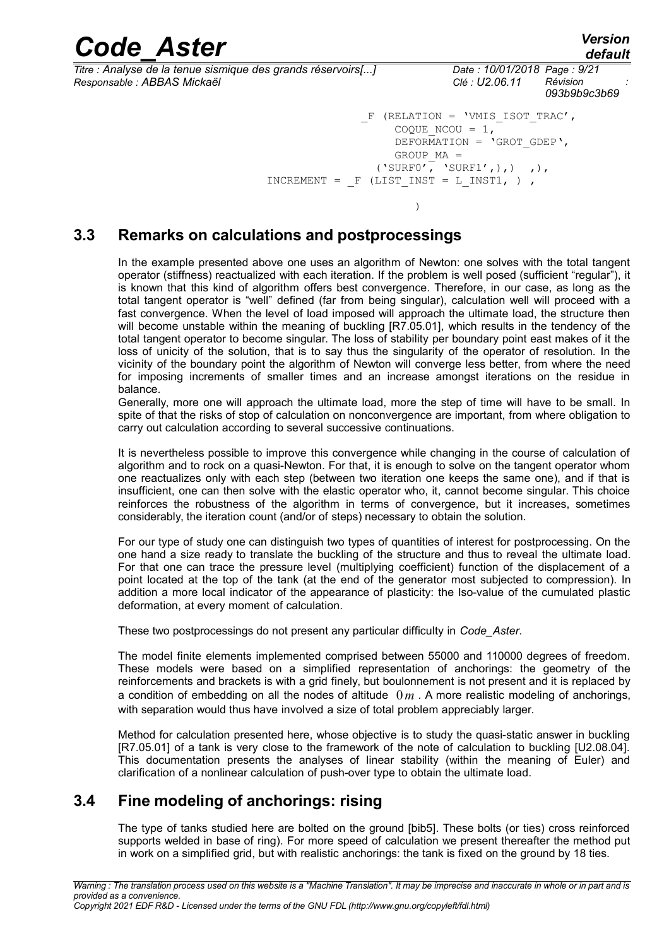| <b>Code Aster</b>                                                                           | <b>Version</b><br>default                                                                                                                                                            |
|---------------------------------------------------------------------------------------------|--------------------------------------------------------------------------------------------------------------------------------------------------------------------------------------|
| Titre : Analyse de la tenue sismique des grands réservoirs[]<br>Responsable : ABBAS Mickaël | Date: 10/01/2018 Page: 9/21<br>Clé : U2.06.11 Révision<br>093b9b9c3b69                                                                                                               |
| – F                                                                                         | $(RELATION = 'VMIS ISOT TRAC',$<br>COQUE NCOU = $1$ ,<br>DEFORMATION = $\text{'GROT GDEP'},$<br>$GROUP MA =$<br>('SURF0', 'SURF1',),') ,<br>INCREMENT = $F$ (LIST INST = L INST1, ), |

#### **3.3 Remarks on calculations and postprocessings**

 $)$ 

In the example presented above one uses an algorithm of Newton: one solves with the total tangent operator (stiffness) reactualized with each iteration. If the problem is well posed (sufficient "regular"), it is known that this kind of algorithm offers best convergence. Therefore, in our case, as long as the total tangent operator is "well" defined (far from being singular), calculation well will proceed with a fast convergence. When the level of load imposed will approach the ultimate load, the structure then will become unstable within the meaning of buckling [R7.05.01], which results in the tendency of the total tangent operator to become singular. The loss of stability per boundary point east makes of it the loss of unicity of the solution, that is to say thus the singularity of the operator of resolution. In the vicinity of the boundary point the algorithm of Newton will converge less better, from where the need for imposing increments of smaller times and an increase amongst iterations on the residue in balance.

Generally, more one will approach the ultimate load, more the step of time will have to be small. In spite of that the risks of stop of calculation on nonconvergence are important, from where obligation to carry out calculation according to several successive continuations.

It is nevertheless possible to improve this convergence while changing in the course of calculation of algorithm and to rock on a quasi-Newton. For that, it is enough to solve on the tangent operator whom one reactualizes only with each step (between two iteration one keeps the same one), and if that is insufficient, one can then solve with the elastic operator who, it, cannot become singular. This choice reinforces the robustness of the algorithm in terms of convergence, but it increases, sometimes considerably, the iteration count (and/or of steps) necessary to obtain the solution.

For our type of study one can distinguish two types of quantities of interest for postprocessing. On the one hand a size ready to translate the buckling of the structure and thus to reveal the ultimate load. For that one can trace the pressure level (multiplying coefficient) function of the displacement of a point located at the top of the tank (at the end of the generator most subjected to compression). In addition a more local indicator of the appearance of plasticity: the Iso-value of the cumulated plastic deformation, at every moment of calculation.

These two postprocessings do not present any particular difficulty in *Code\_Aster*.

The model finite elements implemented comprised between 55000 and 110000 degrees of freedom. These models were based on a simplified representation of anchorings: the geometry of the reinforcements and brackets is with a grid finely, but boulonnement is not present and it is replaced by a condition of embedding on all the nodes of altitude  $0<sub>m</sub>$ . A more realistic modeling of anchorings, with separation would thus have involved a size of total problem appreciably larger.

Method for calculation presented here, whose objective is to study the quasi-static answer in buckling [R7.05.01] of a tank is very close to the framework of the note of calculation to buckling [U2.08.04]. This documentation presents the analyses of linear stability (within the meaning of Euler) and clarification of a nonlinear calculation of push-over type to obtain the ultimate load.

### **3.4 Fine modeling of anchorings: rising**

<span id="page-8-0"></span>The type of tanks studied here are bolted on the ground [bib5]. These bolts (or ties) cross reinforced supports welded in base of ring). For more speed of calculation we present thereafter the method put in work on a simplified grid, but with realistic anchorings: the tank is fixed on the ground by 18 ties.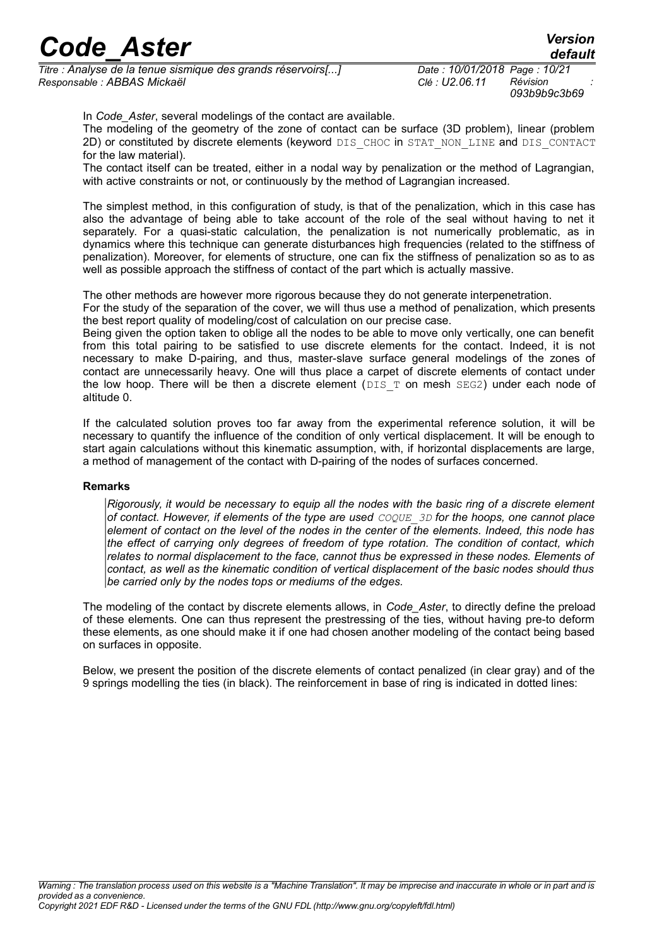*Titre : Analyse de la tenue sismique des grands réservoirs[...] Date : 10/01/2018 Page : 10/21 Responsable : ABBAS Mickaël Clé : U2.06.11 Révision :*

*093b9b9c3b69*

In *Code\_Aster*, several modelings of the contact are available.

The modeling of the geometry of the zone of contact can be surface (3D problem), linear (problem 2D) or constituted by discrete elements (keyword DIS\_CHOC in STAT\_NON\_LINE and DIS\_CONTACT for the law material).

The contact itself can be treated, either in a nodal way by penalization or the method of Lagrangian, with active constraints or not, or continuously by the method of Lagrangian increased.

The simplest method, in this configuration of study, is that of the penalization, which in this case has also the advantage of being able to take account of the role of the seal without having to net it separately. For a quasi-static calculation, the penalization is not numerically problematic, as in dynamics where this technique can generate disturbances high frequencies (related to the stiffness of penalization). Moreover, for elements of structure, one can fix the stiffness of penalization so as to as well as possible approach the stiffness of contact of the part which is actually massive.

The other methods are however more rigorous because they do not generate interpenetration.

For the study of the separation of the cover, we will thus use a method of penalization, which presents the best report quality of modeling/cost of calculation on our precise case.

Being given the option taken to oblige all the nodes to be able to move only vertically, one can benefit from this total pairing to be satisfied to use discrete elements for the contact. Indeed, it is not necessary to make D-pairing, and thus, master-slave surface general modelings of the zones of contact are unnecessarily heavy. One will thus place a carpet of discrete elements of contact under the low hoop. There will be then a discrete element ( $DIST$  on mesh  $SEG2$ ) under each node of altitude 0.

If the calculated solution proves too far away from the experimental reference solution, it will be necessary to quantify the influence of the condition of only vertical displacement. It will be enough to start again calculations without this kinematic assumption, with, if horizontal displacements are large, a method of management of the contact with D-pairing of the nodes of surfaces concerned.

#### **Remarks**

*Rigorously, it would be necessary to equip all the nodes with the basic ring of a discrete element of contact. However, if elements of the type are used COQUE\_3D for the hoops, one cannot place element of contact on the level of the nodes in the center of the elements. Indeed, this node has the effect of carrying only degrees of freedom of type rotation. The condition of contact, which relates to normal displacement to the face, cannot thus be expressed in these nodes. Elements of contact, as well as the kinematic condition of vertical displacement of the basic nodes should thus be carried only by the nodes tops or mediums of the edges.*

The modeling of the contact by discrete elements allows, in *Code\_Aster*, to directly define the preload of these elements. One can thus represent the prestressing of the ties, without having pre-to deform these elements, as one should make it if one had chosen another modeling of the contact being based on surfaces in opposite.

Below, we present the position of the discrete elements of contact penalized (in clear gray) and of the 9 springs modelling the ties (in black). The reinforcement in base of ring is indicated in dotted lines: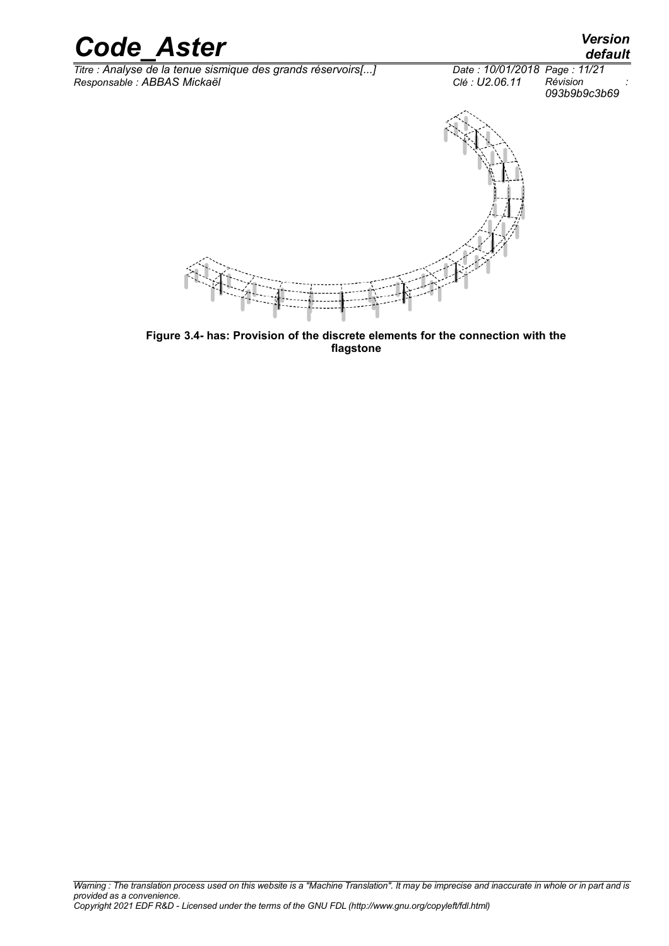

**Figure [3.4-](#page-8-0) has: Provision of the discrete elements for the connection with the flagstone**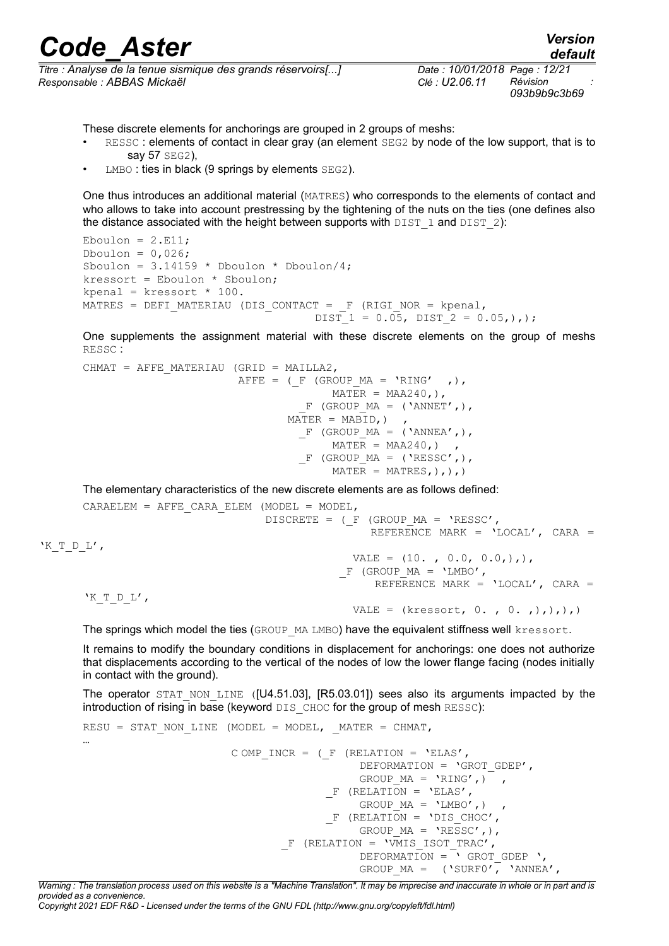| <b>Code Aster</b>                                                         | <b>Version</b><br>default                              |
|---------------------------------------------------------------------------|--------------------------------------------------------|
| $\tau_{\text{the}}$ , Analyse de le tenue siemique des grande résenvoirel | $D_{\text{obs}}$ : 10/01/0010 $D_{\text{obs}}$ : 10/01 |

*Titre : Analyse de la tenue sismique des grands réservoirs[...] Date : 10/01/2018 Page : 12/21 Responsable : ABBAS Mickaël Clé : U2.06.11 Révision :*

These discrete elements for anchorings are grouped in 2 groups of meshs:

- RESSC : elements of contact in clear gray (an element SEG2 by node of the low support, that is to say 57 SEG2),
- $LMBO$ : ties in black (9 springs by elements  $SEG2$ ).

One thus introduces an additional material (MATRES) who corresponds to the elements of contact and who allows to take into account prestressing by the tightening of the nuts on the ties (one defines also the distance associated with the height between supports with  $\text{DIST 1}$  and  $\text{DIST 2}$ ):

Eboulon =  $2.E11;$ Dboulon =  $0,026$ ; Sboulon =  $3.14159$  \* Dboulon \* Dboulon/4;  $k$ ressort = Eboulon \* Sboulon; kpenal = kressort  $*$  100. MATRES = DEFI\_MATERIAU (DIS\_CONTACT =  $F$  (RIGI\_NOR = kpenal, DIST  $1 = 0.05$ , DIST  $2 = 0.05$ ,),);

One supplements the assignment material with these discrete elements on the group of meshs RESSC :

```
CHMAT = AFFE MATERIAU (GRID = MAILLA2,
                         AFFE = ( F (GROUP MA = 'RING' , ),
                                         MATER = MAA240,,
                                    F (GROUP MA = ('ANNET',),
                                  MATER = MABID,)
                                   F (GROUP MA = ('ANNEA',),
                                        MATER = MAA240,F (GROUP MA = ('RESSC',),
                                         \overline{\text{MATER}} = \text{MATRES}, ), ),
```
The elementary characteristics of the new discrete elements are as follows defined:

```
CARAELEM = AFFE CARA ELEM (MODEL = MODEL,
                                 DISCRETE = (F (GROUP MA = 'RESSC', REFERENCE MARK = 'LOCAL', CARA =
'K_T_D_L',
                                              VALE = (10. , 0.0, 0.0, ),),F (GROUP MA = 'LMBO',
                                                   REFERENCE MARK = 'LOCAL', CARA =
      'K T D L',
                                               VALE = (kressort, 0, 0, 0, 0, ...)
```
The springs which model the ties (GROUP MA LMBO) have the equivalent stiffness well kressort.

It remains to modify the boundary conditions in displacement for anchorings: one does not authorize that displacements according to the vertical of the nodes of low the lower flange facing (nodes initially in contact with the ground).

The operator STAT NON LINE ([U4.51.03], [R5.03.01]) sees also its arguments impacted by the introduction of rising in base (keyword DIS CHOC for the group of mesh RESSC):

```
RESU = STAT_NON_LINE (MODEL = MODEL, MATER = CHMAT,
…
                        C OMP INCR = (F (RELATION = 'ELAS',
                                               DEFORMATION = 'GROT_GDEP', 
                                              GROUP MA = 'RING',') ,F (RELATION = 'ELAS',
                                              GROUP MA = 'LMBO', )F (RELATION = 'DIS CHOC',
                                              GROUP MA = 'RESSC',),
                                 F (RELATION = '\overline{V}MIS ISOT TRAC',
                                              DEFORMATION = \overline{\phantom{a}} GROT GDEP \prime,
                                              GROUP MA = ('SURF0', 'ANNEA',
```
*Warning : The translation process used on this website is a "Machine Translation". It may be imprecise and inaccurate in whole or in part and is provided as a convenience. Copyright 2021 EDF R&D - Licensed under the terms of the GNU FDL (http://www.gnu.org/copyleft/fdl.html)*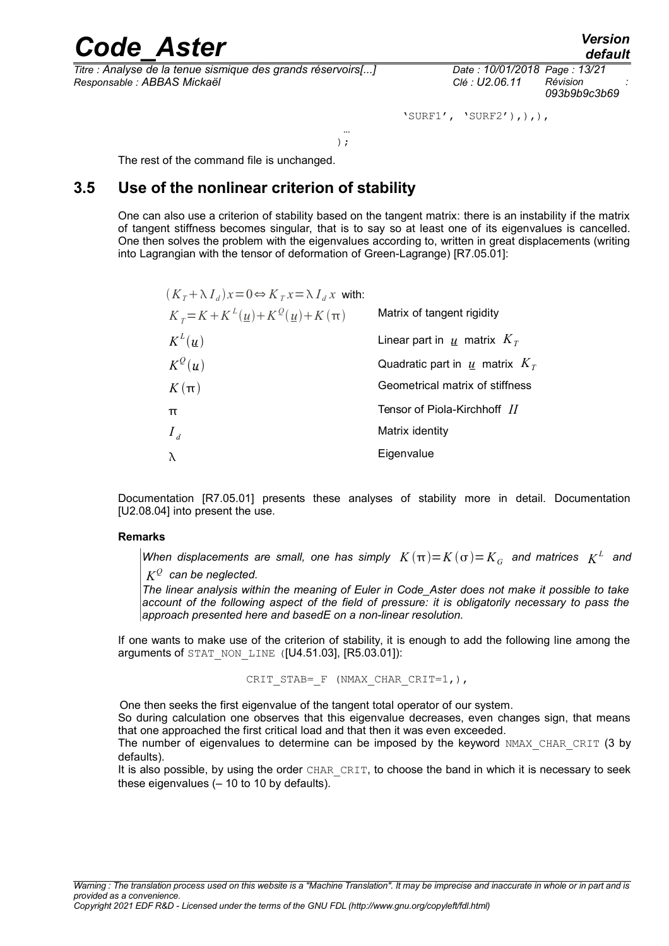*Titre : Analyse de la tenue sismique des grands réservoirs[...] Date : 10/01/2018 Page : 13/21 Responsable : ABBAS Mickaël Clé : U2.06.11 Révision :*

*093b9b9c3b69*

'SURF1', 'SURF2'), ), ),

 …  $)$  ;

The rest of the command file is unchanged.

### **3.5 Use of the nonlinear criterion of stability**

One can also use a criterion of stability based on the tangent matrix: there is an instability if the matrix of tangent stiffness becomes singular, that is to say so at least one of its eigenvalues is cancelled. One then solves the problem with the eigenvalues according to, written in great displacements (writing into Lagrangian with the tensor of deformation of Green-Lagrange) [R7.05.01]:

| $(K_T + \lambda I_d)x = 0 \Leftrightarrow K_T x = \lambda I_d x$ with: |                                             |
|------------------------------------------------------------------------|---------------------------------------------|
| $K_T = K + K^L(\underline{u}) + K^Q(\underline{u}) + K(\pi)$           | Matrix of tangent rigidity                  |
| $K^L(u)$                                                               | Linear part in $\underline{u}$ matrix $K_T$ |
| $K^{\mathcal{Q}}(u)$                                                   | Quadratic part in $\mu$ matrix $KT$         |
| $K(\pi)$                                                               | Geometrical matrix of stiffness             |
| $\pi$                                                                  | Tensor of Piola-Kirchhoff II                |
| $I_d$                                                                  | Matrix identity                             |
| Eigenvalue<br>$\lambda$                                                |                                             |

Documentation [R7.05.01] presents these analyses of stability more in detail. Documentation [U2.08.04] into present the use.

#### **Remarks**

*When displacements are small, one has simply*  $K(\pi){=}K(\sigma){=}K_{\overline{G}}$  *and matrices*  $K^L$  *and* 

 $K^{\mathcal{Q}}$  can be neglected.

*The linear analysis within the meaning of Euler in Code\_Aster does not make it possible to take account of the following aspect of the field of pressure: it is obligatorily necessary to pass the approach presented here and basedE on a non-linear resolution.*

If one wants to make use of the criterion of stability, it is enough to add the following line among the arguments of STAT\_NON\_LINE ([U4.51.03], [R5.03.01]):

CRIT STAB= F (NMAX CHAR CRIT=1,),

One then seeks the first eigenvalue of the tangent total operator of our system.

So during calculation one observes that this eigenvalue decreases, even changes sign, that means that one approached the first critical load and that then it was even exceeded.

The number of eigenvalues to determine can be imposed by the keyword NMAX CHAR CRIT (3 by defaults).

It is also possible, by using the order CHAR\_CRIT, to choose the band in which it is necessary to seek these eigenvalues  $(-10$  to 10 by defaults).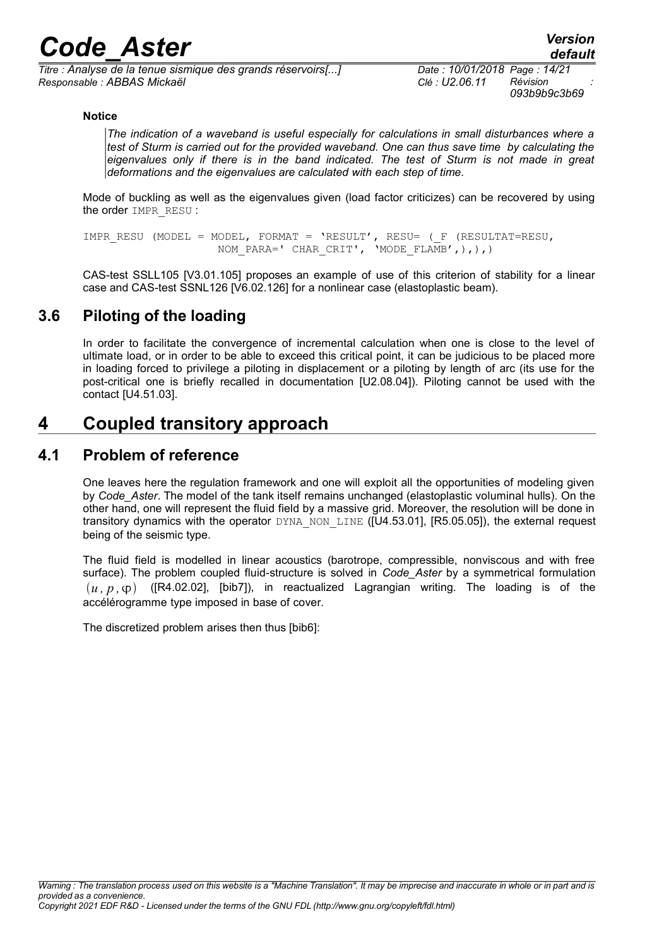*Titre : Analyse de la tenue sismique des grands réservoirs[...] Date : 10/01/2018 Page : 14/21 Responsable : ABBAS Mickaël Clé : U2.06.11 Révision :*

#### **Notice**

*The indication of a waveband is useful especially for calculations in small disturbances where a test of Sturm is carried out for the provided waveband. One can thus save time by calculating the eigenvalues only if there is in the band indicated. The test of Sturm is not made in great deformations and the eigenvalues are calculated with each step of time.*

Mode of buckling as well as the eigenvalues given (load factor criticizes) can be recovered by using the order IMPR\_RESU :

IMPR RESU (MODEL = MODEL, FORMAT = 'RESULT', RESU= ( F (RESULTAT=RESU, NOM\_PARA=' CHAR CRIT', 'MODE FLAMB',),),)

CAS-test SSLL105 [V3.01.105] proposes an example of use of this criterion of stability for a linear case and CAS-test SSNL126 [V6.02.126] for a nonlinear case (elastoplastic beam).

#### **3.6 Piloting of the loading**

In order to facilitate the convergence of incremental calculation when one is close to the level of ultimate load, or in order to be able to exceed this critical point, it can be judicious to be placed more in loading forced to privilege a piloting in displacement or a piloting by length of arc (its use for the post-critical one is briefly recalled in documentation [U2.08.04]). Piloting cannot be used with the contact [U4.51.03].

### **4 Coupled transitory approach**

#### **4.1 Problem of reference**

<span id="page-13-0"></span>One leaves here the regulation framework and one will exploit all the opportunities of modeling given by *Code\_Aster*. The model of the tank itself remains unchanged (elastoplastic voluminal hulls). On the other hand, one will represent the fluid field by a massive grid. Moreover, the resolution will be done in transitory dynamics with the operator DYNA\_NON\_LINE ([U4.53.01], [R5.05.05]), the external request being of the seismic type.

The fluid field is modelled in linear acoustics (barotrope, compressible, nonviscous and with free surface). The problem coupled fluid-structure is solved in *Code\_Aster* by a symmetrical formulation  $(u, p, \varphi)$  ([R4.02.02], [bib7]), in reactualized Lagrangian writing. The loading is of the accélérogramme type imposed in base of cover.

The discretized problem arises then thus [bib6]: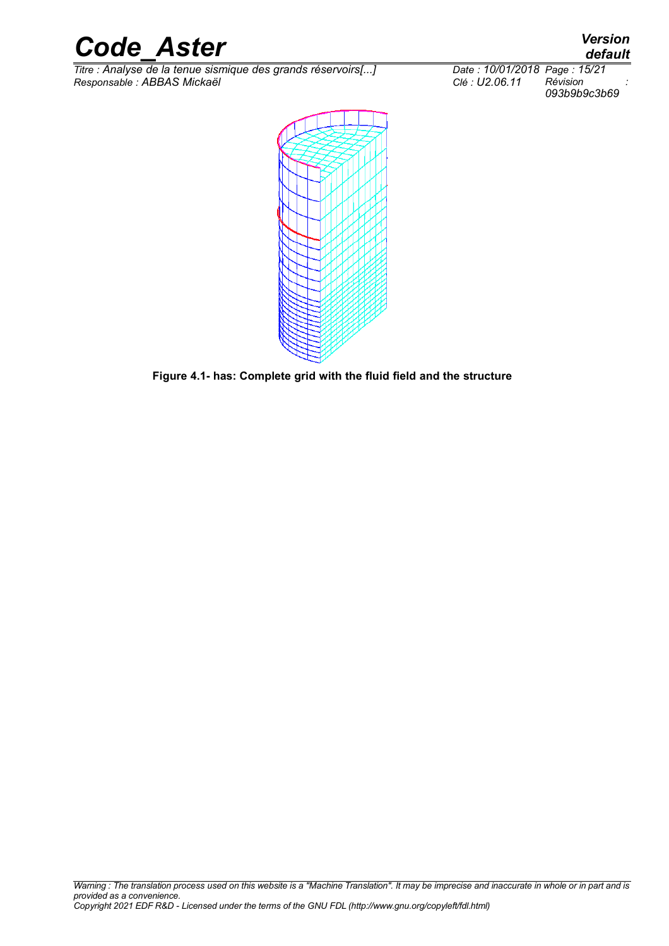*Titre : Analyse de la tenue sismique des grands réservoirs[...] Date : 10/01/2018 Page : 15/21 Responsable : ABBAS Mickaël Clé : U2.06.11 Révision :*



**Figure [4.1-](#page-13-0) has: Complete grid with the fluid field and the structure**

*default*

*093b9b9c3b69*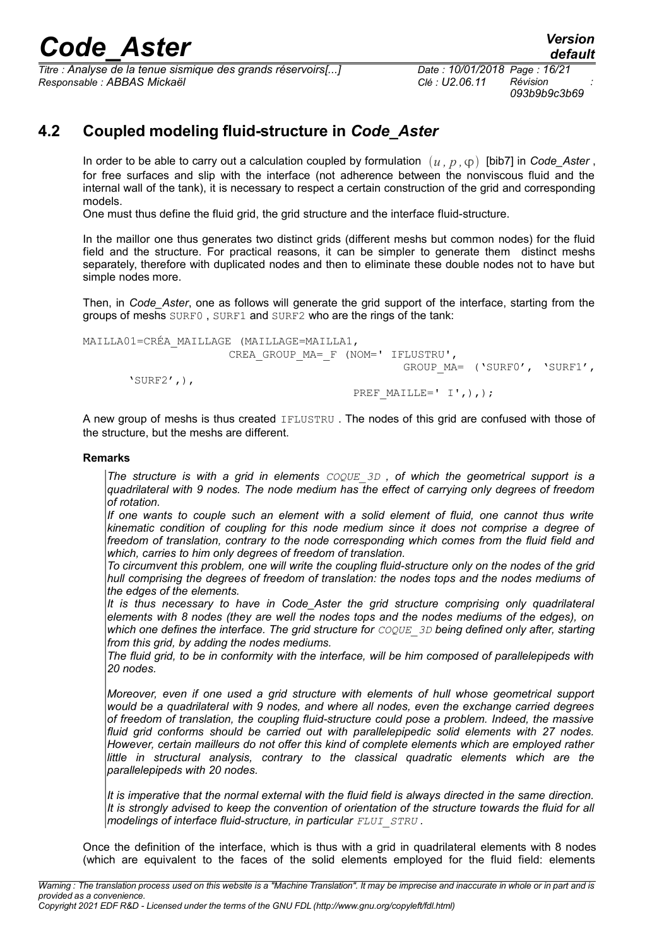*Titre : Analyse de la tenue sismique des grands réservoirs[...] Date : 10/01/2018 Page : 16/21 Responsable : ABBAS Mickaël Clé : U2.06.11 Révision :*

*093b9b9c3b69*

### **4.2 Coupled modeling fluid-structure in** *Code\_Aster*

In order to be able to carry out a calculation coupled by formulation  $(u, p, \varphi)$  [bib7] in *Code\_Aster*, for free surfaces and slip with the interface (not adherence between the nonviscous fluid and the internal wall of the tank), it is necessary to respect a certain construction of the grid and corresponding models.

One must thus define the fluid grid, the grid structure and the interface fluid-structure.

In the maillor one thus generates two distinct grids (different meshs but common nodes) for the fluid field and the structure. For practical reasons, it can be simpler to generate them distinct meshs separately, therefore with duplicated nodes and then to eliminate these double nodes not to have but simple nodes more.

Then, in *Code Aster*, one as follows will generate the grid support of the interface, starting from the groups of meshs SURF0 , SURF1 and SURF2 who are the rings of the tank:

```
MAILLA01=CRÉA_MAILLAGE (MAILLAGE=MAILLA1,
                       CREA_GROUP_MA=_F (NOM=' IFLUSTRU',
                                                  GROUP_MA= ('SURF0', 'SURF1',
       'SURF2',),
                                         PREF MAILLE=' I',),);
```
A new group of meshs is thus created IFLUSTRU . The nodes of this grid are confused with those of the structure, but the meshs are different.

#### **Remarks**

*The structure is with a grid in elements COQUE\_3D , of which the geometrical support is a quadrilateral with 9 nodes. The node medium has the effect of carrying only degrees of freedom of rotation.*

*If one wants to couple such an element with a solid element of fluid, one cannot thus write kinematic condition of coupling for this node medium since it does not comprise a degree of freedom of translation, contrary to the node corresponding which comes from the fluid field and which, carries to him only degrees of freedom of translation.*

*To circumvent this problem, one will write the coupling fluid-structure only on the nodes of the grid hull comprising the degrees of freedom of translation: the nodes tops and the nodes mediums of the edges of the elements.*

*It is thus necessary to have in Code\_Aster the grid structure comprising only quadrilateral elements with 8 nodes (they are well the nodes tops and the nodes mediums of the edges), on which one defines the interface. The grid structure for COQUE\_3D being defined only after, starting from this grid, by adding the nodes mediums.*

*The fluid grid, to be in conformity with the interface, will be him composed of parallelepipeds with 20 nodes.*

*Moreover, even if one used a grid structure with elements of hull whose geometrical support would be a quadrilateral with 9 nodes, and where all nodes, even the exchange carried degrees of freedom of translation, the coupling fluid-structure could pose a problem. Indeed, the massive fluid grid conforms should be carried out with parallelepipedic solid elements with 27 nodes. However, certain mailleurs do not offer this kind of complete elements which are employed rather little in structural analysis, contrary to the classical quadratic elements which are the parallelepipeds with 20 nodes.* 

*It is imperative that the normal external with the fluid field is always directed in the same direction. It is strongly advised to keep the convention of orientation of the structure towards the fluid for all modelings of interface fluid-structure, in particular FLUI\_STRU .*

Once the definition of the interface, which is thus with a grid in quadrilateral elements with 8 nodes (which are equivalent to the faces of the solid elements employed for the fluid field: elements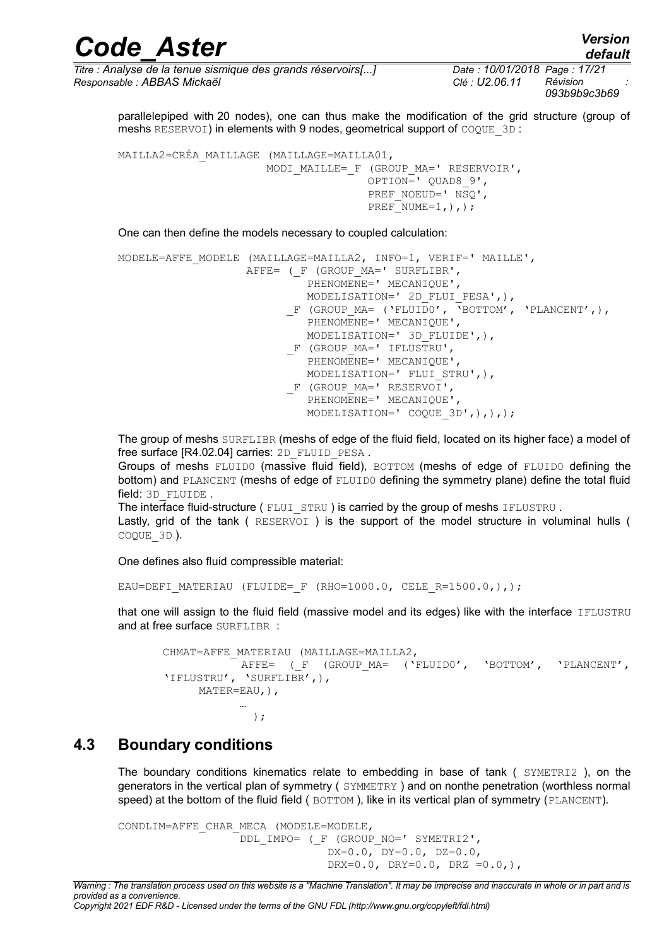| <b>Code Aster</b>                                            | <b>Version</b><br>default    |
|--------------------------------------------------------------|------------------------------|
| Titre : Analyse de la tenue sismique des grands réservoirs[] | Date: 10/01/2018 Page: 17/21 |
| Responsable : ABBAS Mickaël                                  | Révision<br>Clé : U2.06.11   |

*default*

*093b9b9c3b69* parallelepiped with 20 nodes), one can thus make the modification of the grid structure (group of meshs RESERVOI) in elements with 9 nodes, geometrical support of COQUE 3D :

```
MAILLA2=CRÉA_MAILLAGE (MAILLAGE=MAILLA01,
                        MODI MAILLE= F (GROUP MA=' RESERVOIR',
                                          OPTION=' QUAD8_9',
                                         PREF_NOEUD=' NSO',
                                         PREF<sup>-</sup>NUME=1, ), );
```
One can then define the models necessary to coupled calculation:

```
MODELE=AFFE_MODELE (MAILLAGE=MAILLA2, INFO=1, VERIF=' MAILLE',
                   AFFE= (F (GROUP MA=' SURFLIBR',
                             PHENOMENE=' MECANIQUE',
                             MODELISATION=' 2D_FLUI_PESA',),
                         F (GROUP MA= ('FLUID0', 'BOTTOM', 'PLANCENT',),
                            PHENOMENE=' MECANIQUE',
                             MODELISATION=' 3D_FLUIDE',),
                          F (GROUP MA=' IFLUSTRU',
                             PHENOMENE=' MECANIQUE',
                             MODELISATION=' FLUI_STRU',),
                          F (GROUP MA=' RESERVOI',
                            PHENOMENE=' MECANIQUE',
                             MODELISATION=' COQUE_3D',),),);
```
The group of meshs SURFLIBR (meshs of edge of the fluid field, located on its higher face) a model of free surface [R4.02.04] carries: 2D\_FLUID\_PESA.

Groups of meshs FLUID0 (massive fluid field), BOTTOM (meshs of edge of FLUID0 defining the bottom) and PLANCENT (meshs of edge of FLUID0 defining the symmetry plane) define the total fluid field: 3D FLUIDE .

The interface fluid-structure (FLUI STRU) is carried by the group of meshs IFLUSTRU. Lastly, grid of the tank ( RESERVOI ) is the support of the model structure in voluminal hulls ( COQUE\_3D ).

One defines also fluid compressible material:

EAU=DEFI MATERIAU (FLUIDE= F (RHO=1000.0, CELE R=1500.0,),);

that one will assign to the fluid field (massive model and its edges) like with the interface IFLUSTRU and at free surface SURFLIBR :

```
CHMAT=AFFE_MATERIAU (MAILLAGE=MAILLA2,
             AFFE= (F (GROUP MA= ('FLUID0', 'BOTTOM', 'PLANCENT',
     'IFLUSTRU', 'SURFLIBR',),
         MATER=EAU, ),
 …
 );
```
#### **4.3 Boundary conditions**

The boundary conditions kinematics relate to embedding in base of tank ( $SYMETRIZ$ ), on the generators in the vertical plan of symmetry ( $SYMMETRY$ ) and on nonthe penetration (worthless normal speed) at the bottom of the fluid field ( BOTTOM ), like in its vertical plan of symmetry (PLANCENT).

```
CONDLIM=AFFE_CHAR_MECA (MODELE=MODELE,
                  DDL IMPO= ( F (GROUP NO=' SYMETRI2',
                                DX=0.0, DY=0.0, DZ=0.0, DRX=0.0, DRY=0.0, DRZ =0.0,),
```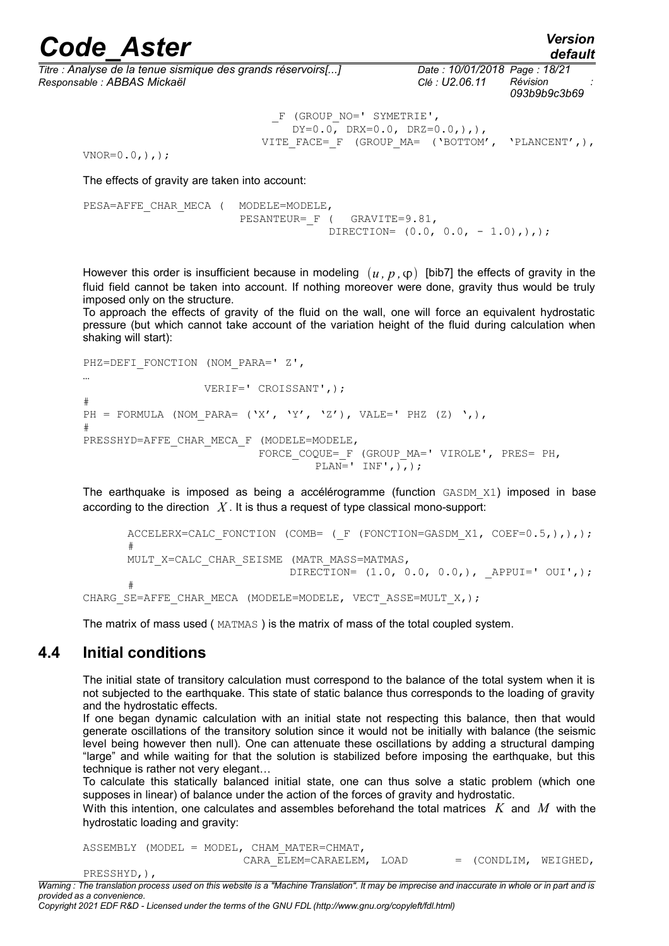*Titre : Analyse de la tenue sismique des grands réservoirs[...] Date : 10/01/2018 Page : 18/21 Responsable : ABBAS Mickaël Clé : U2.06.11 Révision :*

|               |                                                                    | 093b9b9c3b69 |
|---------------|--------------------------------------------------------------------|--------------|
|               | F (GROUP NO=' SYMETRIE',<br>$DY=0.0$ , $DRX=0.0$ , $DRZ=0.0,$ ),), |              |
| $\frac{1}{2}$ | VITE FACE= F (GROUP MA= ('BOTTOM', 'PLANCENT',),                   |              |

 $VNOR=0.0,),$ ;

The effects of gravity are taken into account:

PESA=AFFE\_CHAR\_MECA ( MODELE=MODELE, PESANTEUR= F ( GRAVITE=9.81, DIRECTION=  $(0.0, 0.0, -1.0)$ ,  $),$ ;

However this order is insufficient because in modeling  $(u, p, \varphi)$  [bib7] the effects of gravity in the fluid field cannot be taken into account. If nothing moreover were done, gravity thus would be truly imposed only on the structure.

To approach the effects of gravity of the fluid on the wall, one will force an equivalent hydrostatic pressure (but which cannot take account of the variation height of the fluid during calculation when shaking will start):

PHZ=DEFI\_FONCTION (NOM\_PARA=' Z', … VERIF=' CROISSANT',); # PH = FORMULA (NOM PARA= ('X', 'Y', 'Z'), VALE=' PHZ (Z) ',), # PRESSHYD=AFFE\_CHAR\_MECA\_F (MODELE=MODELE, FORCE COQUE= F (GROUP MA=' VIROLE', PRES= PH, PLAN=' INF',  $\overline{)$ ;

The earthquake is imposed as being a accélérogramme (function GASDM\_X1) imposed in base according to the direction *X* . It is thus a request of type classical mono-support:

```
ACCELERX=CALC_FONCTION (COMB= ( F (FONCTION=GASDM_X1, COEF=0.5,),),);
      #
      MULT X=CALC CHAR SEISME (MATR MASS=MATMAS,
                               DIRECTION= (1.0, 0.0, 0.0,), APPUI=' OUI',);
      #
CHARG_SE=AFFE_CHAR_MECA (MODELE=MODELE, VECT_ASSE=MULT_X,);
```
The matrix of mass used ( MATMAS ) is the matrix of mass of the total coupled system.

#### **4.4 Initial conditions**

The initial state of transitory calculation must correspond to the balance of the total system when it is not subjected to the earthquake. This state of static balance thus corresponds to the loading of gravity and the hydrostatic effects.

If one began dynamic calculation with an initial state not respecting this balance, then that would generate oscillations of the transitory solution since it would not be initially with balance (the seismic level being however then null). One can attenuate these oscillations by adding a structural damping "large" and while waiting for that the solution is stabilized before imposing the earthquake, but this technique is rather not very elegant…

To calculate this statically balanced initial state, one can thus solve a static problem (which one supposes in linear) of balance under the action of the forces of gravity and hydrostatic.

With this intention, one calculates and assembles beforehand the total matrices *K* and *M* with the hydrostatic loading and gravity:

|  | $ASSEMBLY$ (MODEL = MODEL, CHAM MATER=CHMAT, |  |                        |  |
|--|----------------------------------------------|--|------------------------|--|
|  | CARA ELEM=CARAELEM, LOAD                     |  | $=$ (CONDLIM, WEIGHED, |  |

*Warning : The translation process used on this website is a "Machine Translation". It may be imprecise and inaccurate in whole or in part and is provided as a convenience.*

*Copyright 2021 EDF R&D - Licensed under the terms of the GNU FDL (http://www.gnu.org/copyleft/fdl.html)*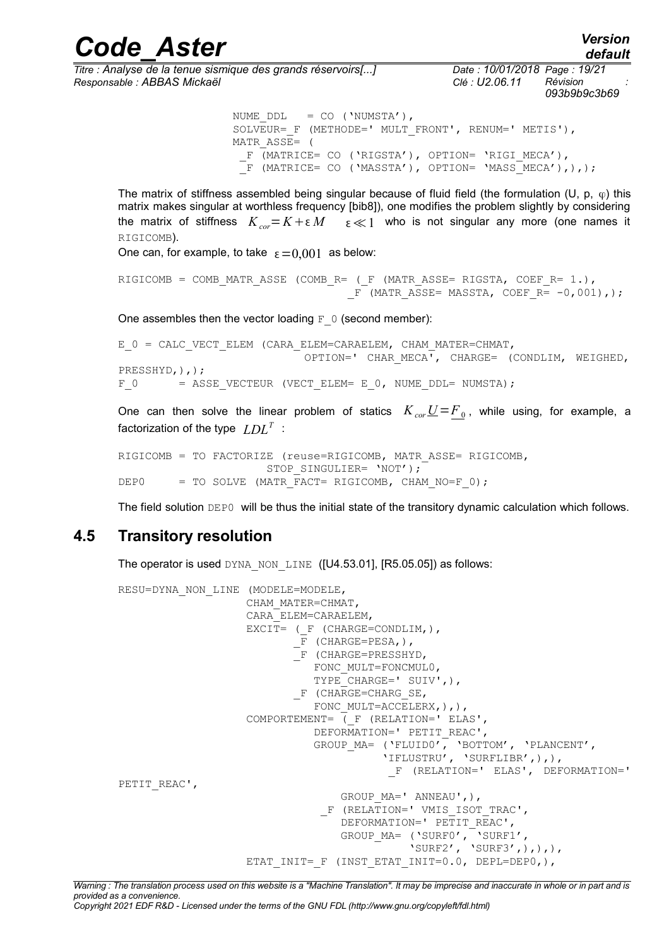*Titre : Analyse de la tenue sismique des grands réservoirs[...] Date : 10/01/2018 Page : 19/21 Responsable : ABBAS Mickaël Clé : U2.06.11 Révision :*

*093b9b9c3b69*

*default*

```
NUME DDL = CO ('NUMSTA'),
SOLVEUR= F (METHODE=' MULT FRONT', RENUM=' METIS'),
 MATR_ASSE= ( 
 F (MATRICE= CO ('RIGSTA'), OPTION= 'RIGI MECA'),
 \overline{F} (MATRICE= CO ('MASSTA'), OPTION= 'MASS\overline{MECA}'),),);
```
The matrix of stiffness assembled being singular because of fluid field (the formulation (U, p,  $\varphi$ ) this matrix makes singular at worthless frequency [bib8]), one modifies the problem slightly by considering the matrix of stiffness  $K_{cor} = K + \varepsilon M$   $\varepsilon \ll 1$  who is not singular any more (one names it RIGICOMB).

*Code\_Aster Version*

One can, for example, to take  $\varepsilon = 0,001$  as below:

```
RIGICOMB = COMB MATR ASSE (COMB R= ( F (MATR ASSE= RIGSTA, COEF R= 1.),
                                  F (MATR ASSE= MASSTA, COEF R= -0,001),);
```
One assembles then the vector loading  $F_0$  (second member):

```
E 0 = CALC VECT ELEM (CARA ELEM=CARAELEM, CHAM MATER=CHMAT,
                            OPTION=' CHAR_MECA', CHARGE= (CONDLIM, WEIGHED,
PRESSHYD,),);
F 0 = ASSE VECTEUR (VECT ELEM= E 0, NUME DDL= NUMSTA);
```
One can then solve the linear problem of statics  $K_{cor}\underline{U} = \underline{F}_0$ , while using, for example, a factorization of the type  $\ LDL^T$  :

```
RIGICOMB = TO FACTORIZE (reuse=RIGICOMB, MATR_ASSE= RIGICOMB,
                     STOP_SINGULIER= 'NOT');
DEP0 = TO SOLVE (MATR FACT= RIGICOMB, CHAM NO=F 0);
```
The field solution DEP0 will be thus the initial state of the transitory dynamic calculation which follows.

#### **4.5 Transitory resolution**

The operator is used DYNA\_NON\_LINE ([U4.53.01], [R5.05.05]) as follows:

```
RESU=DYNA_NON_LINE (MODELE=MODELE,
                       CHAM_MATER=CHMAT,
                       CARA_ELEM=CARAELEM,
                      EXCIT= ( F (CHARGE=CONDLIM,),
                               -F (CHARGE=PESA,),
                                _F (CHARGE=PRESSHYD,
                                  FONC MULT=FONCMUL0,
                                  TYPE CHARGE=' SUIV', ),
                               F (CHARGE=CHARG SE,
                                  FONC MULT=ACCELERX, ),,
                      COMPORTEMENT= ( F (RELATION=' ELAS',
                                   DEFORMATION=' PETIT REAC',
GROUP MA= ('FLUIDO', 'BOTTOM', 'PLANCENT',
 'IFLUSTRU', 'SURFLIBR',),),
                                                 _F (RELATION=' ELAS', DEFORMATION='
PETIT_REAC',
                                       GROUP MA=' ANNEAU',),
                                    F (RELATION=' VMIS ISOT TRAC',
                                       DEFORMATION=' PETIT REAC',
GROUP MA= ('SURFO', 'SURF1',
\texttt{``SURF3'}, \texttt{``SURF3'}, \texttt{``SURF3'}, \texttt{``SURF3''}, \texttt{``SURF3''}, \texttt{``SURF3''}, \texttt{``SURF3''}, \texttt{``SURF3''}, \texttt{``SURF3''}, \texttt{``SURF3''}, \texttt{``SURF3''}, \texttt{``SURF3''}, \texttt{``SURF3''}, \texttt{``SURF3''}, \texttt{``SURF3''},
                      ETAT_INIT=_F (INST_ETAT_INIT=0.0, DEPL=DEP0,),
```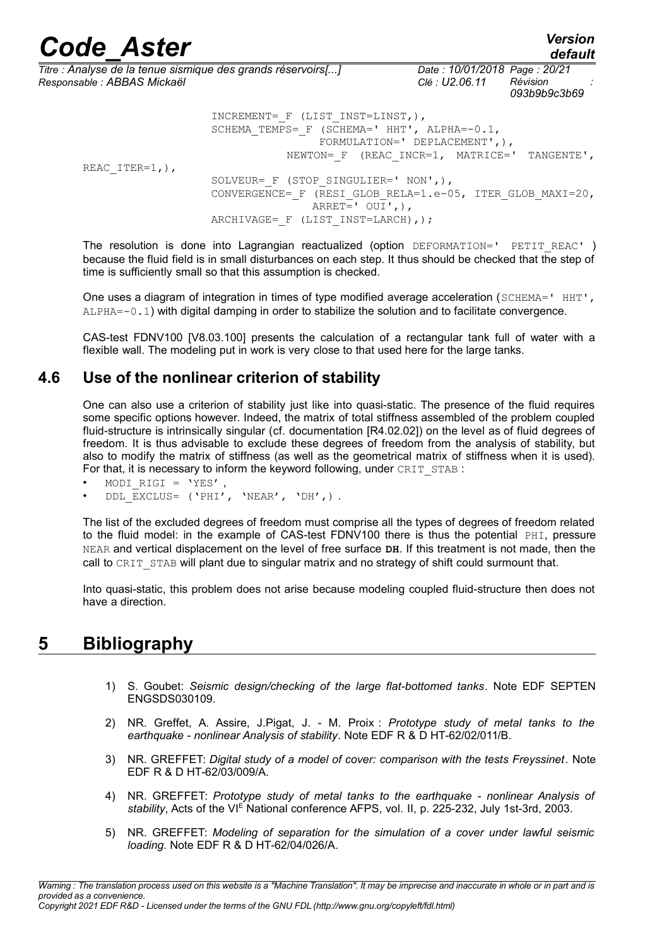| <b>Code Aster</b>           |                                                                                 |                                                                                                                                    | <b>Version</b><br>default |
|-----------------------------|---------------------------------------------------------------------------------|------------------------------------------------------------------------------------------------------------------------------------|---------------------------|
| Responsable : ABBAS Mickaël | Titre : Analyse de la tenue sismique des grands réservoirs[]                    | Date: 10/01/2018 Page: 20/21<br>Révision<br>Clé : U2.06.11                                                                         | 093b9b9c3b69              |
| REAC ITER= $1,$ ),          | INCREMENT= $F$ (LIST INST=LINST, ),                                             | SCHEMA TEMPS= F (SCHEMA=' HHT', ALPHA=-0.1,<br>FORMULATION=' DEPLACEMENT', $)$ ,<br>NEWTON= $F$ (REAC INCR=1, MATRICE=' TANGENTE', |                           |
|                             | SOLVEUR= $F$ (STOP SINGULIER=' NON', ),<br>ARCHIVAGE= $F$ (LIST INST=LARCH), ); | CONVERGENCE= F (RESI GLOB RELA=1.e-05, ITER GLOB MAXI=20,<br>$ARREF=$ ' $OUT',')$ ,                                                |                           |

The resolution is done into Lagrangian reactualized (option DEFORMATION=' PETIT REAC') because the fluid field is in small disturbances on each step. It thus should be checked that the step of time is sufficiently small so that this assumption is checked.

One uses a diagram of integration in times of type modified average acceleration (SCHEMA=' HHT', ALPHA=-0.1) with digital damping in order to stabilize the solution and to facilitate convergence.

CAS-test FDNV100 [V8.03.100] presents the calculation of a rectangular tank full of water with a flexible wall. The modeling put in work is very close to that used here for the large tanks.

#### **4.6 Use of the nonlinear criterion of stability**

One can also use a criterion of stability just like into quasi-static. The presence of the fluid requires some specific options however. Indeed, the matrix of total stiffness assembled of the problem coupled fluid-structure is intrinsically singular (cf. documentation [R4.02.02]) on the level as of fluid degrees of freedom. It is thus advisable to exclude these degrees of freedom from the analysis of stability, but also to modify the matrix of stiffness (as well as the geometrical matrix of stiffness when it is used). For that, it is necessary to inform the keyword following, under CRIT\_STAB :

- MODI RIGI =  $'YES'$  ,
- DDL EXCLUS= ('PHI', 'NEAR', 'DH',) .

The list of the excluded degrees of freedom must comprise all the types of degrees of freedom related to the fluid model: in the example of CAS-test FDNV100 there is thus the potential PHI, pressure NEAR and vertical displacement on the level of free surface **DH**. If this treatment is not made, then the call to CRIT\_STAB will plant due to singular matrix and no strategy of shift could surmount that.

Into quasi-static, this problem does not arise because modeling coupled fluid-structure then does not have a direction.

### **5 Bibliography**

- 1) S. Goubet: *Seismic design/checking of the large flat-bottomed tanks*. Note EDF SEPTEN ENGSDS030109.
- 2) NR. Greffet, A. Assire, J.Pigat, J. M. Proix : *Prototype study of metal tanks to the earthquake - nonlinear Analysis of stability*. Note EDF R & D HT-62/02/011/B.
- 3) NR. GREFFET: *Digital study of a model of cover: comparison with the tests Freyssinet*. Note EDF R & D HT-62/03/009/A.
- 4) NR. GREFFET: *Prototype study of metal tanks to the earthquake nonlinear Analysis of* stability, Acts of the VI<sup>E</sup> National conference AFPS, vol. II, p. 225-232, July 1st-3rd, 2003.
- 5) NR. GREFFET: *Modeling of separation for the simulation of a cover under lawful seismic loading*. Note EDF R & D HT-62/04/026/A.

*Copyright 2021 EDF R&D - Licensed under the terms of the GNU FDL (http://www.gnu.org/copyleft/fdl.html)*